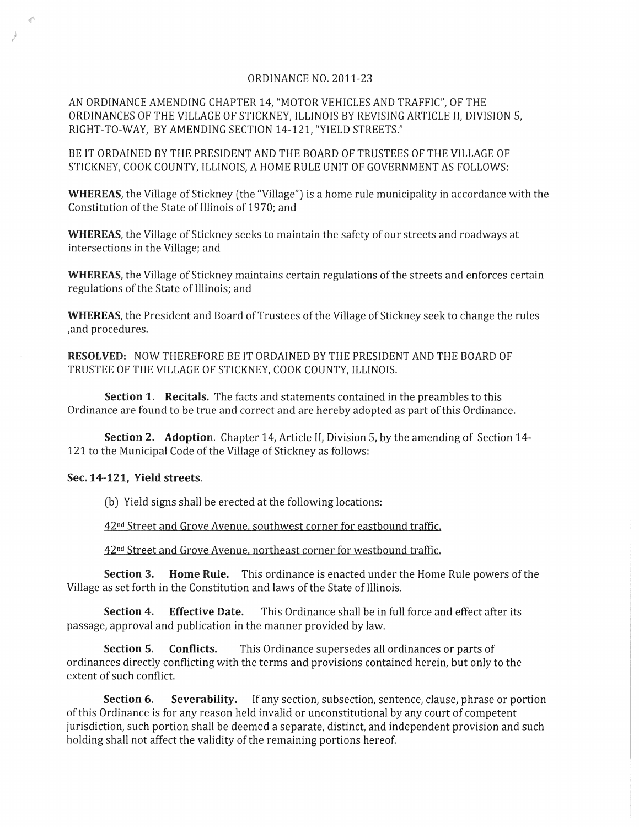## ORDINANCE NO. 2011-23

AN ORDINANCE AMENDING CHAPTER 14, "MOTOR VEHICLES AND TRAFFIC", OF THE ORDINANCES OF THE VILLAGE OF STICKNEY, ILLINOIS BY REVISING ARTICLE II, DIVISION 5, RIGHT-TO-WAY, BY AMENDING SECTION 14-121, "YIELD STREETS."

BE IT ORDAINED BY THE PRESIDENT AND THE BOARD OF TRUSTEES OF THE VILLAGE OF STICKNEY, COOK COUNTY, ILLINOIS, A HOME RULE UNIT OF GOVERNMENT AS FOLLOWS:

**WHEREAS,** the Village of Stickney (the "Village") is a home rule municipality in accordance with the Constitution of the State of Illinois of 1970; and

**WHEREAS,** the Village of Stickney seeks to maintain the safety of our streets and roadways at intersections in the Village; and

**WHEREAS,** the Village of Stickney maintains certain regulations of the streets and enforces certain regulations of the State of Illinois; and

**WHEREAS,** the President and Board of Trustees of the Village of Stickney seek to change the rules ,and procedures.

**RESOLVED:** NOW THEREFORE BE IT ORDAINED BY THE PRESIDENT AND THE BOARD OF TRUSTEE OF THE VILLAGE OF STICKNEY, COOK COUNTY, ILLINOIS.

**Section 1. Recitals.** The facts and statements contained in the preambles to this Ordinance are found to be true and correct and are hereby adopted as part of this Ordinance.

**Section 2. Adoption.** Chapter 14, Article II, Division 5, by the amending of Section 14- 121 to the Municipal Code of the Village of Stickney as follows:

## **Sec. 14-121, Yield streets.**

)

(b) Yield signs shall be erected at the following locations:

42nd Street and Grove Avenue. southwest corner for eastbound traffic.

42nd Street and Grove Avenue. northeast corner for westbound traffic.

**Section 3. Home Rule.** This ordinance is enacted under the Home Rule powers of the Village as set forth in the Constitution and laws of the State of Illinois.

**Section 4. Effective Date.** This Ordinance shall be in full force and effect after its passage, approval and publication in the manner provided by law.

**Section 5. Conflicts.** This Ordinance supersedes all ordinances or parts of ordinances directly conflicting with the terms and provisions contained herein, but only to the extent of such conflict.

**Section 6. Severability.** If any section, subsection, sentence, clause, phrase or portion of this Ordinance is for any reason held invalid or unconstitutional by any court of competent jurisdiction, such portion shall be deemed a separate, distinct, and independent provision and such holding shall not affect the validity of the remaining portions hereof.